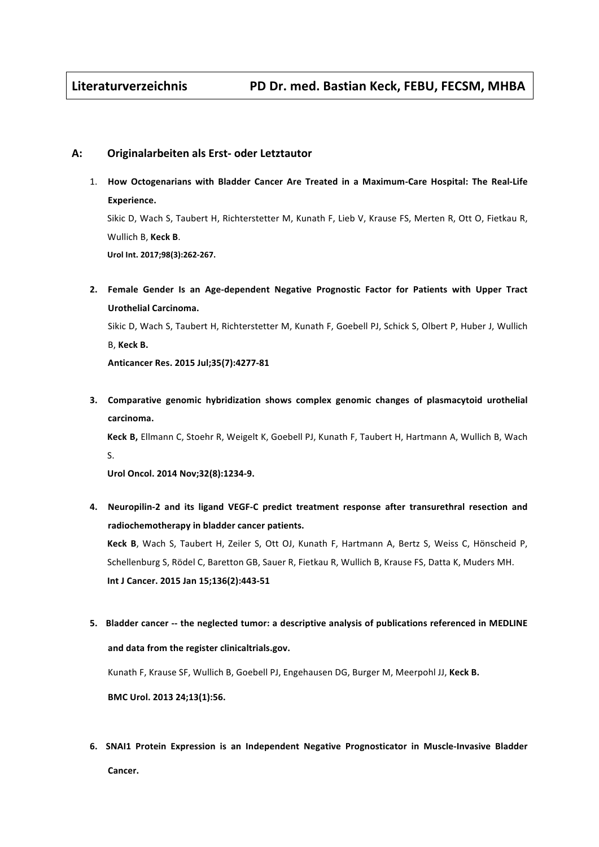## **A: Originalarbeiten als Erst- oder Letztautor**

1. How Octogenarians with Bladder Cancer Are Treated in a Maximum-Care Hospital: The Real-Life **Experience.**

Sikic D, Wach S, Taubert H, Richterstetter M, Kunath F, Lieb V, Krause FS, Merten R, Ott O, Fietkau R, Wullich B, Keck B. **Urol Int. 2017;98(3):262-267.**

2. Female Gender Is an Age-dependent Negative Prognostic Factor for Patients with Upper Tract **Urothelial Carcinoma.**

Sikic D, Wach S, Taubert H, Richterstetter M, Kunath F, Goebell PJ, Schick S, Olbert P, Huber J, Wullich B, **Keck B.** 

**Anticancer Res. 2015 Jul;35(7):4277-81**

**3.** Comparative genomic hybridization shows complex genomic changes of plasmacytoid urothelial **carcinoma.** 

Keck B, Ellmann C, Stoehr R, Weigelt K, Goebell PJ, Kunath F, Taubert H, Hartmann A, Wullich B, Wach S.

Urol Oncol. 2014 Nov;32(8):1234-9.

**4. Neuropilin-2 and its ligand VEGF-C predict treatment response after transurethral resection and**  radiochemotherapy in bladder cancer patients.

Keck B, Wach S, Taubert H, Zeiler S, Ott OJ, Kunath F, Hartmann A, Bertz S, Weiss C, Hönscheid P, Schellenburg S, Rödel C, Baretton GB, Sauer R, Fietkau R, Wullich B, Krause FS, Datta K, Muders MH. **Int J Cancer. 2015 Jan 15;136(2):443-51**

5. Bladder cancer -- the neglected tumor: a descriptive analysis of publications referenced in MEDLINE and data from the register clinicaltrials.gov.

Kunath F, Krause SF, Wullich B, Goebell PJ, Engehausen DG, Burger M, Meerpohl JJ, Keck B.

**BMC Urol. 2013 24;13(1):56.**

**6. SNAI1** Protein Expression is an Independent Negative Prognosticator in Muscle-Invasive Bladder Cancer.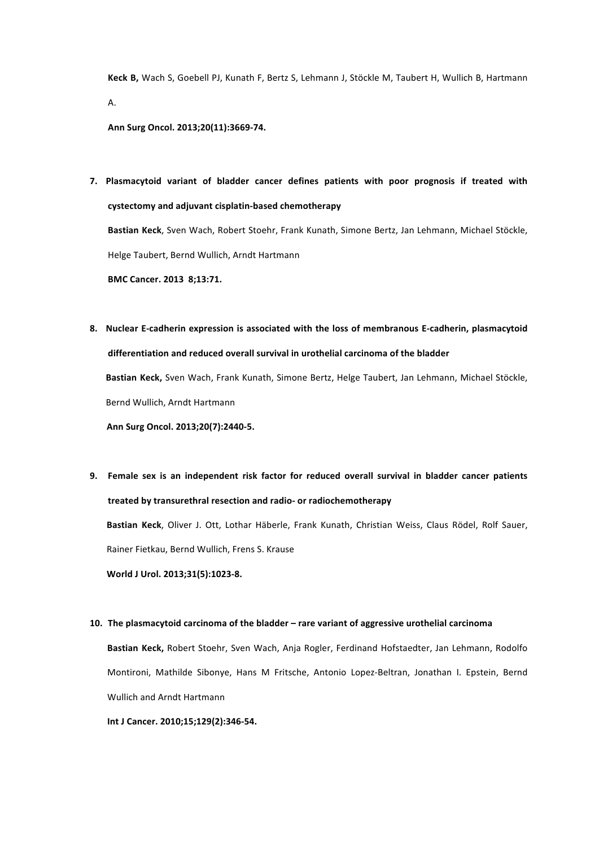Keck B, Wach S, Goebell PJ, Kunath F, Bertz S, Lehmann J, Stöckle M, Taubert H, Wullich B, Hartmann [A](http://www.ncbi.nlm.nih.gov/pubmed?term=Hartmann A%5BAuthor%5D&cauthor=true&cauthor_uid=23807662).

**Ann Surg Oncol. 2013;20(11):3669-74.**

**7.** Plasmacytoid variant of bladder cancer defines patients with poor prognosis if treated with **cystectomy and adjuvant cisplatin-based chemotherapy**

Bastian Keck, Sven Wach, Robert Stoehr, Frank Kunath, Simone Bertz, Jan Lehmann, Michael Stöckle, Helge Taubert, Bernd Wullich, Arndt Hartmann

**BMC Cancer. 2013 8;13:71.** 

**8. Nuclear E-cadherin expression is associated with the loss of membranous E-cadherin, plasmacytoid** differentiation and reduced overall survival in urothelial carcinoma of the bladder Bastian Keck, Sven Wach, Frank Kunath, Simone Bertz, Helge Taubert, Jan Lehmann, Michael Stöckle,

Bernd Wullich, Arndt Hartmann

Ann Surg Oncol. 2013:20(7):2440-5.

**9.** Female sex is an independent risk factor for reduced overall survival in bladder cancer patients **treated by transurethral resection and radio- or radiochemotherapy**

Bastian Keck, Oliver J. Ott, Lothar Häberle, Frank Kunath, Christian Weiss, Claus Rödel, Rolf Sauer, Rainer Fietkau, Bernd Wullich, Frens S. Krause

World J Urol. 2013;31(5):1023-8.

#### 10. The plasmacytoid carcinoma of the bladder – rare variant of aggressive urothelial carcinoma

Bastian Keck, Robert Stoehr, Sven Wach, Anja Rogler, Ferdinand Hofstaedter, Jan Lehmann, Rodolfo Montironi, Mathilde Sibonye, Hans M Fritsche, Antonio Lopez-Beltran, Jonathan I. Epstein, Bernd Wullich and Arndt Hartmann

**Int J Cancer. 2010;15;129(2):346-54.**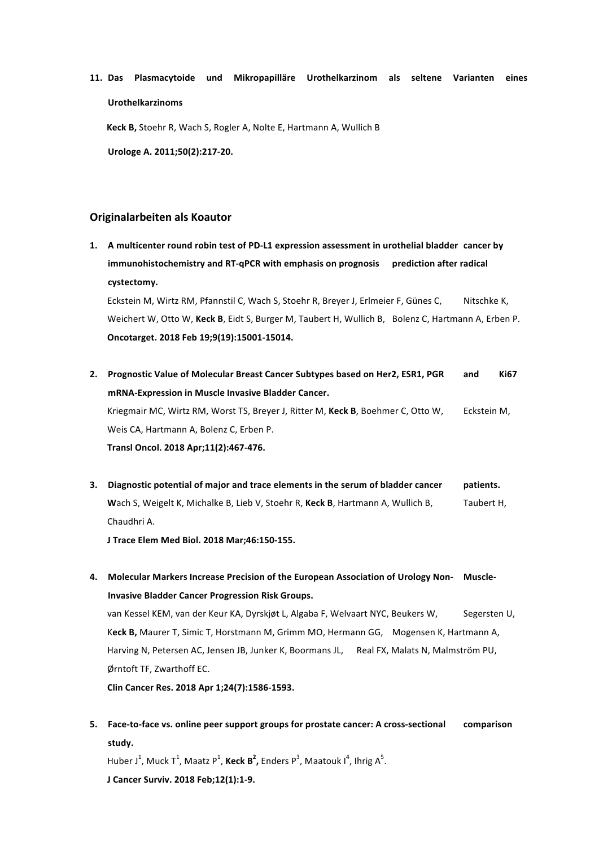11. Das Plasmacytoide und Mikropapilläre Urothelkarzinom als seltene Varianten eines **Urothelkarzinoms**

**Keck B,** Stoehr R, Wach S, Rogler A, Nolte E, Hartmann A, Wullich B **Urologe A. 2011;50(2):217-20.** 

# **Originalarbeiten als Koautor**

1. A multicenter round robin test of PD-L1 expression assessment in urothelial bladder cancer by **immunohistochemistry and RT-qPCR with emphasis on prognosis** prediction after radical **cystectomy.**

Eckstein M, Wirtz RM, Pfannstil C, Wach S, Stoehr R, Breyer J, Erlmeier F, Günes C, Nitschke K, Weichert W, Otto W, Keck B, Eidt S, Burger M, Taubert H, Wullich B, Bolenz C, Hartmann A, Erben P. **Oncotarget. 2018 Feb 19;9(19):15001-15014.**

- 2. Prognostic Value of Molecular Breast Cancer Subtypes based on Her2, ESR1, PGR and Ki67 **mRNA-Expression in Muscle Invasive Bladder Cancer.** Kriegmair MC, Wirtz RM, Worst TS, Breyer J, Ritter M, Keck B, Boehmer C, Otto W, Eckstein M, Weis CA, Hartmann A, Bolenz C, Erben P. **Transl Oncol. 2018 Apr;11(2):467-476.**
- **3.** Diagnostic potential of major and trace elements in the serum of bladder cancer patients. Wach S, Weigelt K, Michalke B, Lieb V, Stoehr R, Keck B, Hartmann A, Wullich B, Taubert H, Chaudhri A.

**J Trace Elem Med Biol. 2018 Mar;46:150-155.**

4. Molecular Markers Increase Precision of the European Association of Urology Non- Muscle-**Invasive Bladder Cancer Progression Risk Groups.** 

van Kessel KEM, van der Keur KA, Dyrskjøt L, Algaba F, Welvaart NYC, Beukers W, Segersten U, Keck B, Maurer T, Simic T, Horstmann M, Grimm MO, Hermann GG, Mogensen K, Hartmann A, Harving N, Petersen AC, Jensen JB, Junker K, Boormans JL, Real FX, Malats N, Malmström PU, Ørntoft TF. Zwarthoff EC.

**Clin Cancer Res. 2018 Apr 1;24(7):1586-1593.**

5. Face-to-face vs. online peer support groups for prostate cancer: A cross-sectional comparison **study.**

Huber J<sup>1</sup>, Muck T<sup>1</sup>, Maatz P<sup>1</sup>, Keck B<sup>2</sup>, Enders P<sup>3</sup>, Maatouk I<sup>4</sup>, Ihrig A<sup>5</sup>. **[J Cancer Surviv.](https://www.ncbi.nlm.nih.gov/pubmed/28861845) 2018 Feb;12(1):1-9.**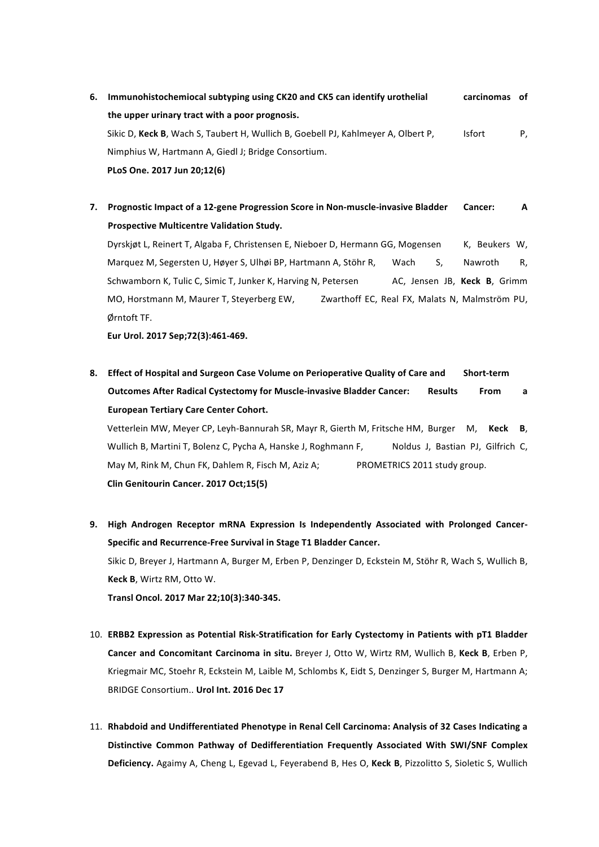- **6.** Immunohistochemiocal subtyping using CK20 and CK5 can identify urothelial carcinomas of the upper urinary tract with a poor prognosis. Sikic D, Keck B, Wach S, Taubert H, Wullich B, Goebell PJ, Kahlmeyer A, Olbert P, Isfort P, Nimphius W, Hartmann A, Giedl J; Bridge Consortium. **PLoS One. 2017 Jun 20;12(6)**
- **7.** Prognostic Impact of a 12-gene Progression Score in Non-muscle-invasive Bladder Cancer: A **Prospective Multicentre Validation Study.**

Dyrskjøt L, Reinert T, Algaba F, Christensen E, Nieboer D, Hermann GG, Mogensen K, Beukers W, Marquez M, Segersten U, Høyer S, Ulhøi BP, Hartmann A, Stöhr R, Wach S, Nawroth R, Schwamborn K, Tulic C, Simic T, Junker K, Harving N, Petersen AC, Jensen JB, Keck B, Grimm MO, Horstmann M, Maurer T, Steverberg EW. Zwarthoff EC, Real FX, Malats N, Malmström PU, Ørntoft TF.

**Eur Urol. 2017 Sep;72(3):461-469.**

8. **Effect of Hospital and Surgeon Case Volume on Perioperative Quality of Care and Short-term Outcomes After Radical Cystectomy for Muscle-invasive Bladder Cancer: <br>
<b>Name Set Aresults** From a **European Tertiary Care Center Cohort.**

Vetterlein MW, Meyer CP, Leyh-Bannurah SR, Mayr R, Gierth M, Fritsche HM, Burger M, Keck B, Wullich B, Martini T, Bolenz C, Pycha A, Hanske J, Roghmann F, Noldus J, Bastian PJ, Gilfrich C, May M, Rink M, Chun FK, Dahlem R, Fisch M, Aziz A; PROMETRICS 2011 study group. **Clin Genitourin Cancer. 2017 Oct;15(5)**

9. High Androgen Receptor mRNA Expression Is Independently Associated with Prolonged Cancer-Specific and Recurrence-Free Survival in Stage T1 Bladder Cancer. Sikic D, Breyer J, Hartmann A, Burger M, Erben P, Denzinger D, Eckstein M, Stöhr R, Wach S, Wullich B, **Keck B.** Wirtz RM, Otto W. **Transl Oncol. 2017 Mar 22;10(3):340-345.** 

- 10. **ERBB2 Expression as Potential Risk-Stratification for Early Cystectomy in Patients with pT1 Bladder Cancer and Concomitant Carcinoma in situ.** Breyer J, Otto W, Wirtz RM, Wullich B, Keck B, Erben P, Kriegmair MC, Stoehr R, Eckstein M, Laible M, Schlombs K, Eidt S, Denzinger S, Burger M, Hartmann A; BRIDGE Consortium... Urol Int. 2016 Dec 17
- 11. Rhabdoid and Undifferentiated Phenotype in Renal Cell Carcinoma: Analysis of 32 Cases Indicating a Distinctive Common Pathway of Dedifferentiation Frequently Associated With SWI/SNF Complex [Deficiency.](https://www.ncbi.nlm.nih.gov/pubmed/27984237) Agaimy A, Cheng L, Egevad L, Feyerabend B, Hes O, Keck B, Pizzolitto S, Sioletic S, Wullich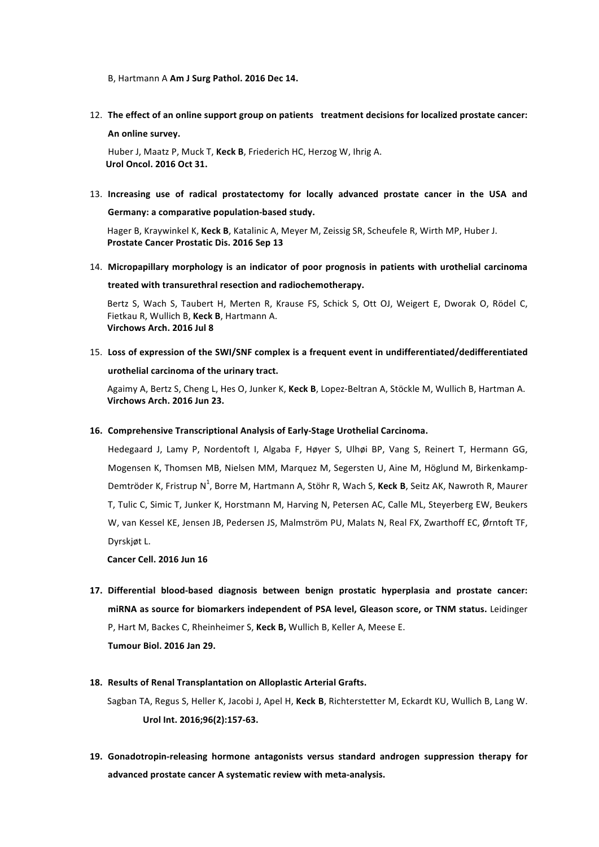B, Hartmann A Am J Surg Pathol. 2016 Dec 14.

12. The effect of an online support group on patients treatment decisions for localized prostate cancer: **[An online survey.](https://www.ncbi.nlm.nih.gov/pubmed/27810256)**

Huber J, Maatz P, Muck T, Keck B, Friederich HC, Herzog W, Ihrig A. **Urol Oncol. 2016 Oct 31.** 

13. Increasing use of radical prostatectomy for locally advanced prostate cancer in the USA and Germany: a comparative population-based study.

Hager B, Kraywinkel K, Keck B, Katalinic A, Meyer M, Zeissig SR, Scheufele R, Wirth MP, Huber J. Prostate Cancer Prostatic Dis. 2016 Sep 13

14. Micropapillary morphology is an indicator of poor prognosis in patients with urothelial carcinoma treated with transurethral resection and radiochemotherapy.

Bertz S, Wach S, Taubert H, Merten R, Krause FS, Schick S, Ott OJ, Weigert E, Dworak O, Rödel C, Fietkau R, Wullich B, Keck B, Hartmann A. **Virchows Arch. 2016 Jul 8**

15. Loss of expression of the SWI/SNF complex is a frequent event in undifferentiated/dedifferentiated urothelial carcinoma of the urinary tract.

Agaimy A, Bertz S, Cheng L, Hes O, Junker K, Keck B, Lopez-Beltran A, Stöckle M, Wullich B, Hartman A. Virchows Arch. 2016 Jun 23.

16. Comprehensive Transcriptional Analysis of Early-Stage Urothelial Carcinoma.

Hedegaard J, Lamy P, Nordentoft I, [Algaba](http://www.ncbi.nlm.nih.gov/pubmed/?term=Algaba F%5BAuthor%5D&cauthor=true&cauthor_uid=27321955) F, Høyer S, Ulhøi BP, Vang S, Reinert T, Hermann GG, Mogensen K, Thomsen MB, Nielsen MM, Marquez M, Segersten U, Aine M, Höglund M, [Birkenkamp](http://www.ncbi.nlm.nih.gov/pubmed/?term=Birkenkamp-Demtr%C3%B6der K%5BAuthor%5D&cauthor=true&cauthor_uid=27321955)-Demtröder K, Fristrup N<sup>1</sup>, Borre M, Hartmann A, [Stöhr](http://www.ncbi.nlm.nih.gov/pubmed/?term=St%C3%B6hr R%5BAuthor%5D&cauthor=true&cauthor_uid=27321955) R, Wach S, Keck B, Seitz AK, Nawroth R, [Maurer](http://www.ncbi.nlm.nih.gov/pubmed/?term=Maurer T%5BAuthor%5D&cauthor=true&cauthor_uid=27321955) [T](http://www.ncbi.nlm.nih.gov/pubmed/?term=Maurer T%5BAuthor%5D&cauthor=true&cauthor_uid=27321955), Tulic C, Simic T, Junker K, Horstmann M, [Harving](http://www.ncbi.nlm.nih.gov/pubmed/?term=Harving N%5BAuthor%5D&cauthor=true&cauthor_uid=27321955) N, Petersen AC, Calle ML, Steyerberg EW, [Beukers](http://www.ncbi.nlm.nih.gov/pubmed/?term=Beukers W%5BAuthor%5D&cauthor=true&cauthor_uid=27321955) [W](http://www.ncbi.nlm.nih.gov/pubmed/?term=Beukers W%5BAuthor%5D&cauthor=true&cauthor_uid=27321955), van Kessel KE, Jensen JB, Pedersen JS, Malmström PU, Malats N, Real FX, Zwarthoff EC, Ørntoft TF, Dyrskjøt L.

**[Cancer Cell.](http://www.ncbi.nlm.nih.gov/pubmed/27321955) 2016 Jun 16**

**17. [Differential blood-based diagnosis between benign prostatic hyperplasia and prostate cancer:](http://www.ncbi.nlm.nih.gov/pubmed/26831660)**  miRNA as source for biomarkers independent of PSA level, Gleason score, or TNM status. Leidinger P, Hart M, Backes C, Rheinheimer S, Keck B, Wullich B, Keller A, Meese E.

**Tumour Biol. 2016 Jan 29.** 

### 18. Results of Renal Transplantation on Alloplastic Arterial Grafts.

Sagban TA, Regus S, Heller K, Jacobi J, Apel H, Keck B, Richterstetter M, Eckardt KU, Wullich B, Lang W. Urol Int. 2016;96(2):157-63.

19. Gonadotropin-releasing hormone antagonists versus standard androgen suppression therapy for advanced prostate cancer A systematic review with meta-analysis.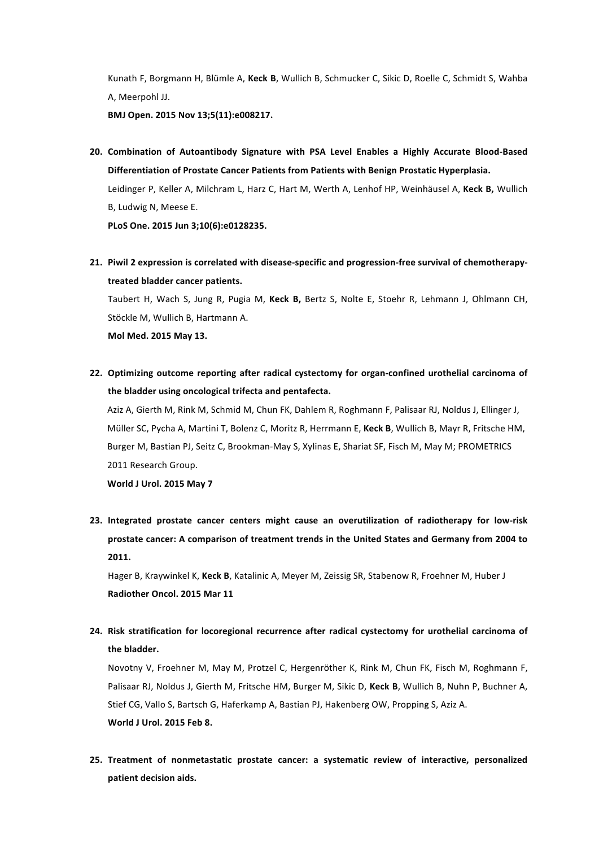Kunath F, Borgmann H, Blümle A, Keck B, Wullich B, Schmucker C, Sikic D, Roelle C, Schmidt S, Wahba A, Meerpohl JJ.

**BMJ Open. 2015 Nov 13;5(11):e008217.**

20. Combination of Autoantibody Signature with PSA Level Enables a Highly Accurate Blood-Based Differentiation of Prostate Cancer Patients from Patients with Benign Prostatic Hyperplasia. Leidinger P, Keller A, Milchram L, Harz C, Hart M, Werth A, Lenhof HP, Weinhäusel A, Keck B, [Wullich](http://www.ncbi.nlm.nih.gov/pubmed/?term=Wullich B%5BAuthor%5D&cauthor=true&cauthor_uid=26039628) [B](http://www.ncbi.nlm.nih.gov/pubmed/?term=Wullich B%5BAuthor%5D&cauthor=true&cauthor_uid=26039628), Ludwig N, Meese E.

**PLoS One. 2015 Jun 3;10(6):e0128235.**

21. Piwil 2 expression is correlated with disease-specific and progression-free survival of chemotherapy**treated bladder cancer patients.** Taubert H, Wach S, Jung R, Pugia M, Keck B, Bertz S, Nolte E, Stoehr R, Lehmann J, Ohlmann CH,

Stöckle M, Wullich B, Hartmann A.

**Mol Med. 2015 May 13.** 

**22.** Optimizing outcome reporting after radical cystectomy for organ-confined urothelial carcinoma of the bladder using oncological trifecta and pentafecta.

Aziz A, Gierth M, Rink M, Schmid M, Chun FK, Dahlem R, Roghmann F, Palisaar RJ, Noldus J, Ellinger J, Müller SC, Pycha A, Martini T, Bolenz C, Moritz R, Herrmann E, Keck B, Wullich B, Mayr R, Fritsche HM, Burger M, Bastian PJ, Seitz C, Brookman-May S, Xylinas E, Shariat SF, Fisch M, May M; PROMETRICS 2011 Research Group.

**World J Urol. 2015 May 7**

23. Integrated prostate cancer centers might cause an overutilization of radiotherapy for low-risk prostate cancer: A comparison of treatment trends in the United States and Germany from 2004 to **2011.**

Hager B, Kraywinkel K, Keck B, Katalinic A, Meyer M, Zeissig SR, Stabenow R, Froehner M, Huber J **Radiother Oncol. 2015 Mar 11** 

**24. Risk stratification for locoregional recurrence after radical cystectomy for urothelial carcinoma of**  the **bladder**.

Novotny V, Froehner M, May M, Protzel C, Hergenröther K, Rink M, Chun FK, Fisch M, Roghmann F, Palisaar RJ, Noldus J, Gierth M, Fritsche HM, Burger M, Sikic D, Keck B, Wullich B, Nuhn P, Buchner A, Stief CG, Vallo S, Bartsch G, Haferkamp A, Bastian PJ, Hakenberg OW, Propping S, Aziz A. **World J Urol. 2015 Feb 8.** 

25. Treatment of nonmetastatic prostate cancer: a systematic review of interactive, personalized **patient decision aids.**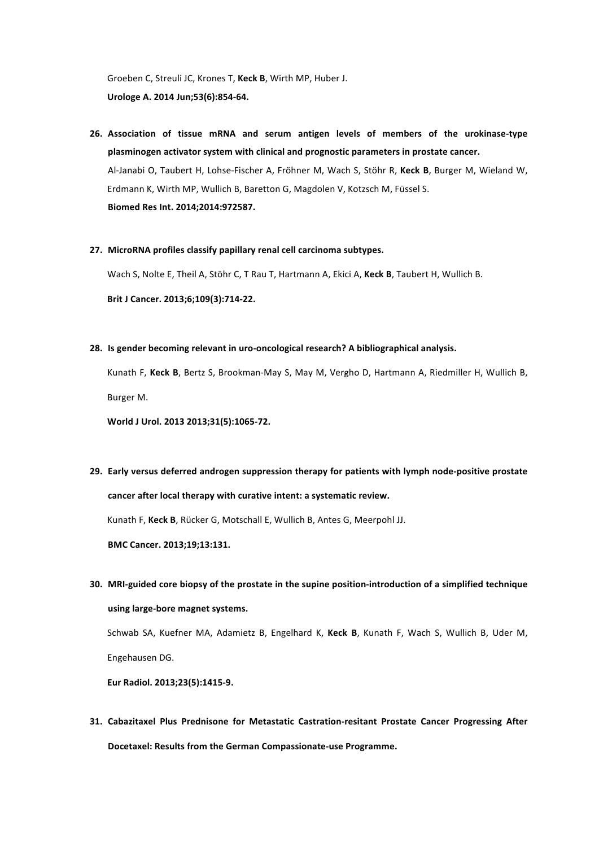Groeben C, Streuli JC, Krones T, Keck B, Wirth MP, Huber J. **Urologe A. 2014 Jun;53(6):854-64.** 

- **26.** Association of tissue mRNA and serum antigen levels of members of the urokinase-type **[plasminogen activator system with clinical and](http://www.ncbi.nlm.nih.gov/pubmed/24877154) prognostic parameters in prostate cancer.** Al-Janabi O, Taubert H, Lohse-Fischer A, Fröhner M, Wach S, Stöhr R, Keck B, Burger M, Wieland W, Erdmann K, Wirth MP, Wullich B, Baretton G, Magdolen V, Kotzsch M, Füssel S. **Biomed Res Int. 2014;2014:972587.**
- 27. MicroRNA profiles classify papillary renal cell carcinoma subtypes.

Wach S, Nolte E, Theil A, Stöhr C, T Rau T, Hartmann A, Ekici A, Keck B, Taubert H, Wullich B. Brit J Cancer. 2013;6;109(3):714-22.

28. Is gender becoming relevant in uro-oncological research? A bibliographical analysis.

Kunath F, Keck B, Bertz S, Brookman-May S, May M, Vergho D, Hartmann A, Riedmiller H, Wullich B, Burger M.

World J Urol. 2013 2013;31(5):1065-72.

29. Early versus deferred androgen suppression therapy for patients with lymph node-positive prostate cancer after local therapy with curative intent: a systematic review. Kunath F, Keck B, Rücker G, Motschall E, Wullich B, Antes G, Meerpohl JJ.

**BMC Cancer. 2013;19;13:131.**

**30.** MRI-guided core biopsy of the prostate in the supine position-introduction of a simplified technique **[using large-bore magnet systems.](http://www.ncbi.nlm.nih.gov/pubmed/23179522)**

Schwab SA, Kuefner MA, Adamietz B, Engelhard K, Keck B, Kunath F, Wach S, Wullich B, Uder M, Engehausen DG.

**Eur Radiol. 2013;23(5):1415-9.**

**31. Cabazitaxel Plus Prednisone for Metastatic Castration-resitant Prostate Cancer Progressing After Docetaxel: Results from the German Compassionate-use Programme.**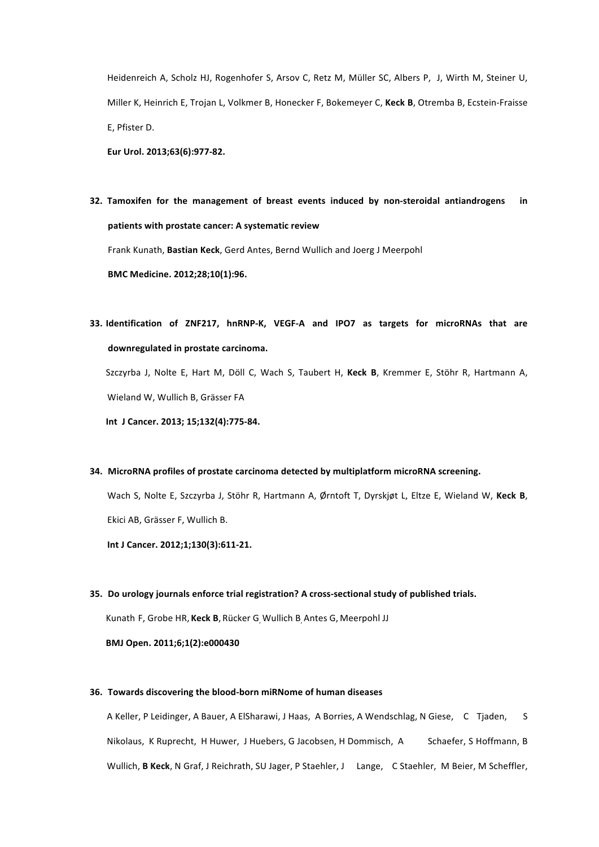Heidenreich A, Scholz HJ, Rogenhofer S, Arsov C, Retz M, Müller SC, Albers P, J, Wirth M, Steiner U, Miller K, Heinrich E, Trojan L, Volkmer B, Honecker F, Bokemeyer C, Keck B, Otremba B, Ecstein-Fraisse E, Pfister D.

**Eur Urol. 2013;63(6):977-82.**

**32.** Tamoxifen for the management of breast events induced by non-steroidal antiandrogens in patients with prostate cancer: A systematic review

Frank Kunath, Bastian Keck, Gerd Antes, Bernd Wullich and Joerg J Meerpohl

**BMC Medicine. 2012;28;10(1):96.** 

**33.** Identification of ZNF217, hnRNP-K, VEGF-A and IPO7 as targets for microRNAs that are downregulated in prostate carcinoma.

Szczyrba J, Nolte E, Hart M, Döll C, Wach S, Taubert H, Keck B, Kremmer E, Stöhr R, Hartmann A, Wieland W, Wullich B, Grässer FA

**Int J Cancer. 2013; 15;132(4):775-84.**

### **34. [MicroRNA profiles of prostate carcinoma detected by multiplatform microRNA screening.](http://www.ncbi.nlm.nih.gov/pubmed/21400514)**

Wach S, Nolte E, Szczyrba J, Stöhr R, Hartmann A, Ørntoft T, Dyrskjøt L, Eltze E, Wieland W, Keck B, Ekici AB, Grässer F, Wullich B.

Int J Cancer. 2012;1;130(3):611-21.

### **35.** Do urology journals enforce trial registration? A cross-sectional study of published trials.

Kunath F, Grobe HR, Keck B, Rücker G Wullich B Antes G, Meerpohl JJ

**BMJ Open. 2011;6;1(2):e000430** 

## **36.** Towards discovering the blood-born miRNome of human diseases

A Keller, P Leidinger, A Bauer, A ElSharawi, J Haas, A Borries, A Wendschlag, N Giese, C Tjaden, S Nikolaus, K Ruprecht, H Huwer, J Huebers, G Jacobsen, H Dommisch, A Schaefer, S Hoffmann, B Wullich, **B Keck**, N Graf, J Reichrath, SU Jager, P Staehler, J Lange, C Staehler, M Beier, M Scheffler,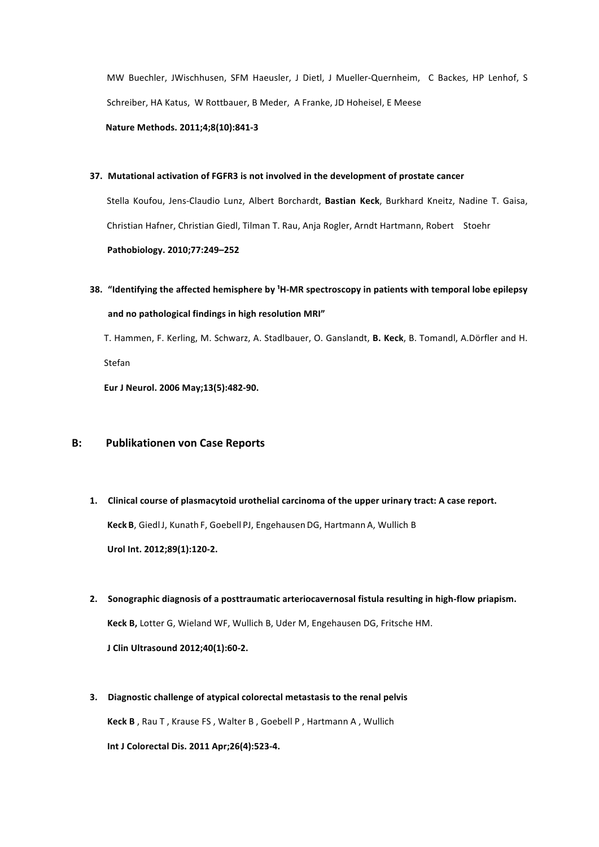MW Buechler, JWischhusen, SFM Haeusler, J Dietl, J Mueller-Quernheim, C Backes, HP Lenhof, S Schreiber, HA Katus, W Rottbauer, B Meder, A Franke, JD Hoheisel, E Meese

**Nature Methods. 2011;4;8(10):841-3** 

## **37.** Mutational activation of FGFR3 is not involved in the development of prostate cancer

Stella Koufou, Jens-Claudio Lunz, Albert Borchardt, Bastian Keck, Burkhard Kneitz, Nadine T. Gaisa, Christian Hafner, Christian Giedl, Tilman T. Rau, Anja Rogler, Arndt Hartmann, Robert Stoehr  **Pathobiology. 2010;77:249–252** 

**38.** "Identifying the affected hemisphere by <sup>1</sup>H-MR spectroscopy in patients with temporal lobe epilepsy and no pathological findings in high resolution MRI"

T. Hammen, F. Kerling, M. Schwarz, A. Stadlbauer, O. Ganslandt, **B. Keck**, B. Tomandl, A.Dörfler and H. Stefan 

**Eur J Neurol. 2006 May;13(5):482-90.** 

# **B:** Publikationen von Case Reports

- 1. Clinical course of plasmacytoid urothelial carcinoma of the upper urinary tract: A case report. **Keck B**, Giedl J, Kunath F, Goebell PJ, Engehausen DG, Hartmann A, Wullich B Urol Int. 2012;89(1):120-2.
- 2. Sonographic diagnosis of a posttraumatic arteriocavernosal fistula resulting in high-flow priapism. **Keck B, Lotter G, Wieland WF, Wullich B, Uder M, Engehausen DG, Fritsche HM. J** Clin Ultrasound 2012;40(1):60-2.
- **3.** Diagnostic challenge of atypical colorectal metastasis to the renal pelvis **Keck B**, Rau T, Krause FS, Walter B, Goebell P, Hartmann A, Wullich **Int J Colorectal Dis. 2011 Apr;26(4):523-4.**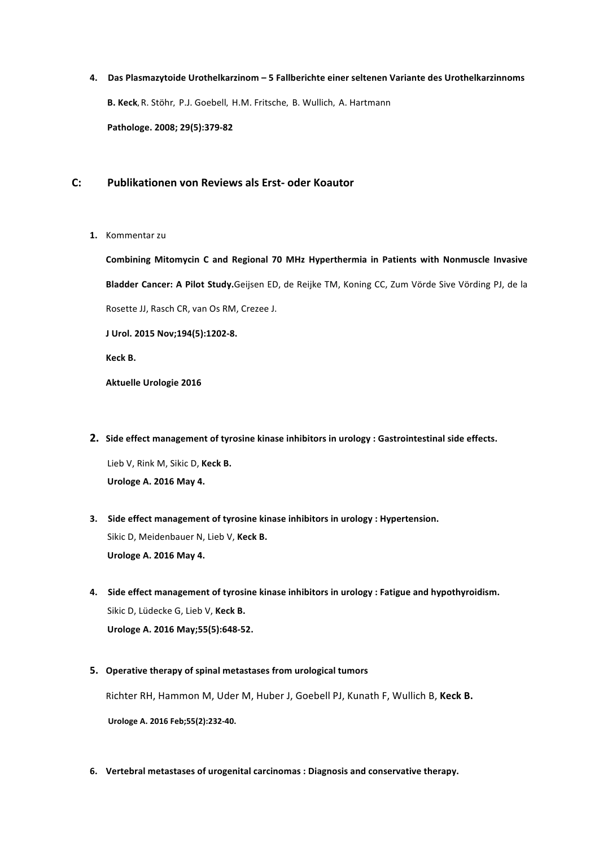**4. Das Plasmazytoide Urothelkarzinom – 5 Fallberichte einer seltenen Variante des Urothelkarzinnoms B. Keck,** R. Stöhr**,**  P.J. Goebell**,**  H.M. Fritsche**,**  B. Wullich**,**  A. Hartmann **Pathologe. 2008; 29(5):379-82**

# **C: Publikationen von Reviews als Erst- oder Koautor**

1. Kommentar zu

**Combining Mitomycin C and Regional 70 MHz Hyperthermia in Patients with Nonmuscle Invasive** Bladder Cancer: A Pilot Study.Geijsen ED, de Reijke TM, Koning CC, Zum Vörde Sive Vörding PJ, de la Rosette JJ, Rasch CR, van Os RM, Crezee J.

**J Urol. 2015 Nov;194(5):1202-8.**

**Keck B.** 

**Aktuelle Urologie 2016** 

- **2.** Side effect management of tyrosine kinase inhibitors in urology : Gastrointestinal side effects. Lieb V, Rink M, Sikic D, Keck B. **Urologe A. 2016 May 4.**
- **3.** Side effect management of tyrosine kinase inhibitors in urology : Hypertension. Sikic D, Meidenbauer N, Lieb V, Keck B. **Urologe A. 2016 May 4.**
- 4. Side effect management of tyrosine kinase inhibitors in urology : Fatigue and hypothyroidism. Sikic D, Lüdecke G, Lieb V, Keck B. **Urologe A. 2016 May;55(5):648-52.**
- **5.** Operative therapy of spinal metastases from urological tumors

Richter RH, Hammon M, Uder M, Huber J, Goebell PJ, Kunath F, Wullich B, Keck B. **Urologe A. 2016 Feb;55(2):232-40.**

**6.** Vertebral metastases of urogenital carcinomas : Diagnosis and conservative therapy.